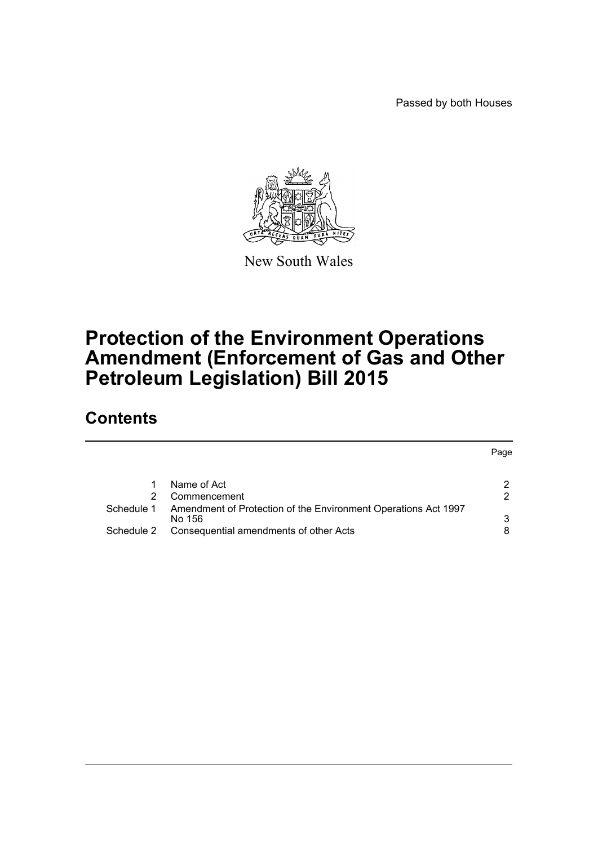Passed by both Houses



New South Wales

## **Protection of the Environment Operations Amendment (Enforcement of Gas and Other Petroleum Legislation) Bill 2015**

## **Contents**

|            |                                                                | Page |
|------------|----------------------------------------------------------------|------|
|            | Name of Act                                                    | າ    |
|            | Commencement                                                   | っ    |
| Schedule 1 | Amendment of Protection of the Environment Operations Act 1997 |      |
|            | No 156                                                         | 3    |
| Schedule 2 | Consequential amendments of other Acts                         |      |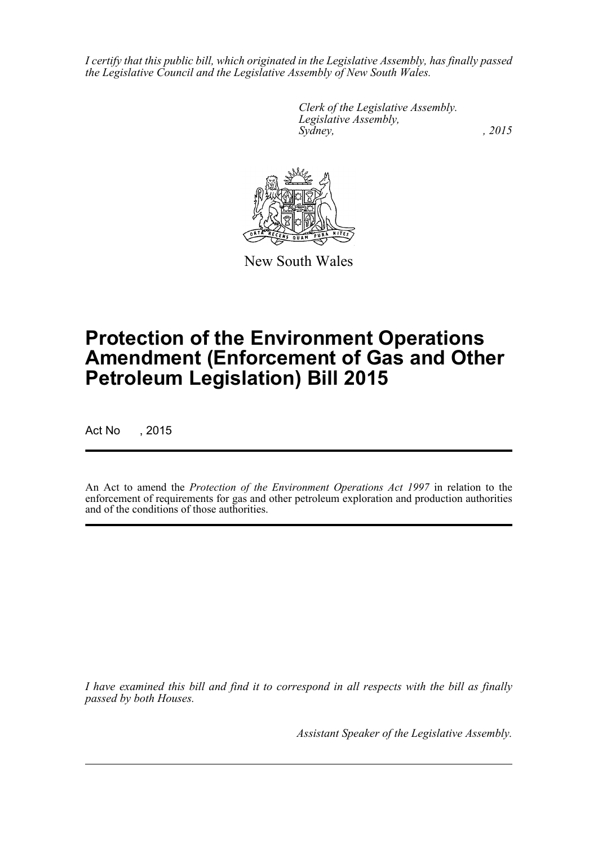*I certify that this public bill, which originated in the Legislative Assembly, has finally passed the Legislative Council and the Legislative Assembly of New South Wales.*

> *Clerk of the Legislative Assembly. Legislative Assembly, Sydney,* , 2015



New South Wales

# **Protection of the Environment Operations Amendment (Enforcement of Gas and Other Petroleum Legislation) Bill 2015**

Act No , 2015

An Act to amend the *Protection of the Environment Operations Act 1997* in relation to the enforcement of requirements for gas and other petroleum exploration and production authorities and of the conditions of those authorities.

*I have examined this bill and find it to correspond in all respects with the bill as finally passed by both Houses.*

*Assistant Speaker of the Legislative Assembly.*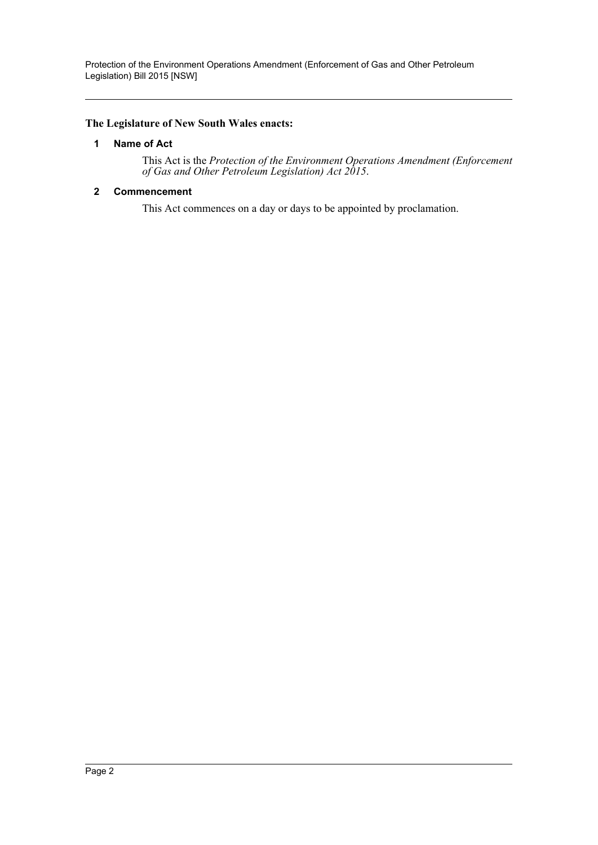Protection of the Environment Operations Amendment (Enforcement of Gas and Other Petroleum Legislation) Bill 2015 [NSW]

#### <span id="page-2-0"></span>**The Legislature of New South Wales enacts:**

#### **1 Name of Act**

This Act is the *Protection of the Environment Operations Amendment (Enforcement of Gas and Other Petroleum Legislation) Act 2015*.

#### <span id="page-2-1"></span>**2 Commencement**

This Act commences on a day or days to be appointed by proclamation.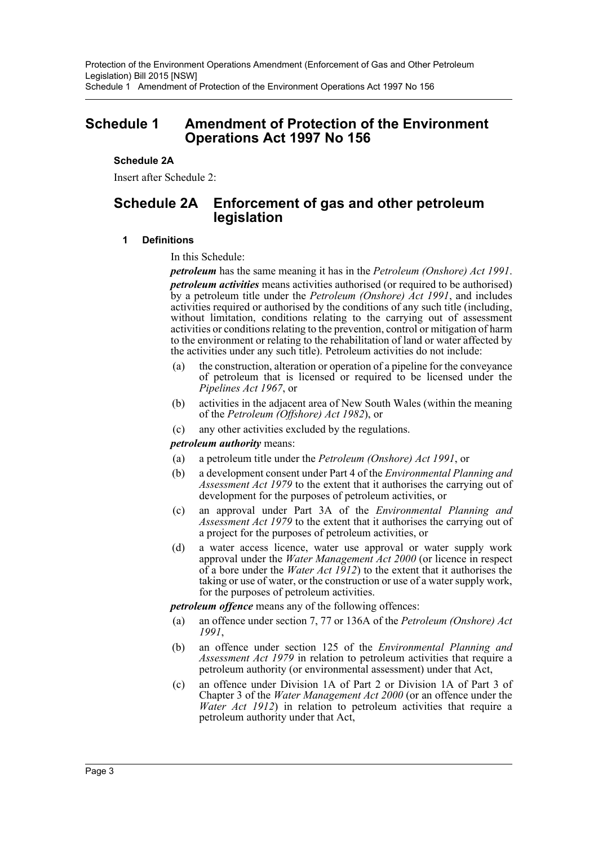#### <span id="page-3-0"></span>**Schedule 2A**

Insert after Schedule 2:

## **Schedule 2A Enforcement of gas and other petroleum legislation**

#### **1 Definitions**

In this Schedule:

*petroleum* has the same meaning it has in the *Petroleum (Onshore) Act 1991*. *petroleum activities* means activities authorised (or required to be authorised) by a petroleum title under the *Petroleum (Onshore) Act 1991*, and includes activities required or authorised by the conditions of any such title (including, without limitation, conditions relating to the carrying out of assessment activities or conditions relating to the prevention, control or mitigation of harm to the environment or relating to the rehabilitation of land or water affected by the activities under any such title). Petroleum activities do not include:

- (a) the construction, alteration or operation of a pipeline for the conveyance of petroleum that is licensed or required to be licensed under the *Pipelines Act 1967*, or
- (b) activities in the adjacent area of New South Wales (within the meaning of the *Petroleum (Offshore) Act 1982*), or
- (c) any other activities excluded by the regulations.

#### *petroleum authority* means:

- (a) a petroleum title under the *Petroleum (Onshore) Act 1991*, or
- (b) a development consent under Part 4 of the *Environmental Planning and Assessment Act 1979* to the extent that it authorises the carrying out of development for the purposes of petroleum activities, or
- (c) an approval under Part 3A of the *Environmental Planning and Assessment Act 1979* to the extent that it authorises the carrying out of a project for the purposes of petroleum activities, or
- (d) a water access licence, water use approval or water supply work approval under the *Water Management Act 2000* (or licence in respect of a bore under the *Water Act 1912*) to the extent that it authorises the taking or use of water, or the construction or use of a water supply work, for the purposes of petroleum activities.

*petroleum offence* means any of the following offences:

- (a) an offence under section 7, 77 or 136A of the *Petroleum (Onshore) Act 1991*,
- (b) an offence under section 125 of the *Environmental Planning and Assessment Act 1979* in relation to petroleum activities that require a petroleum authority (or environmental assessment) under that Act,
- (c) an offence under Division 1A of Part 2 or Division 1A of Part 3 of Chapter 3 of the *Water Management Act 2000* (or an offence under the *Water Act 1912*) in relation to petroleum activities that require a petroleum authority under that Act,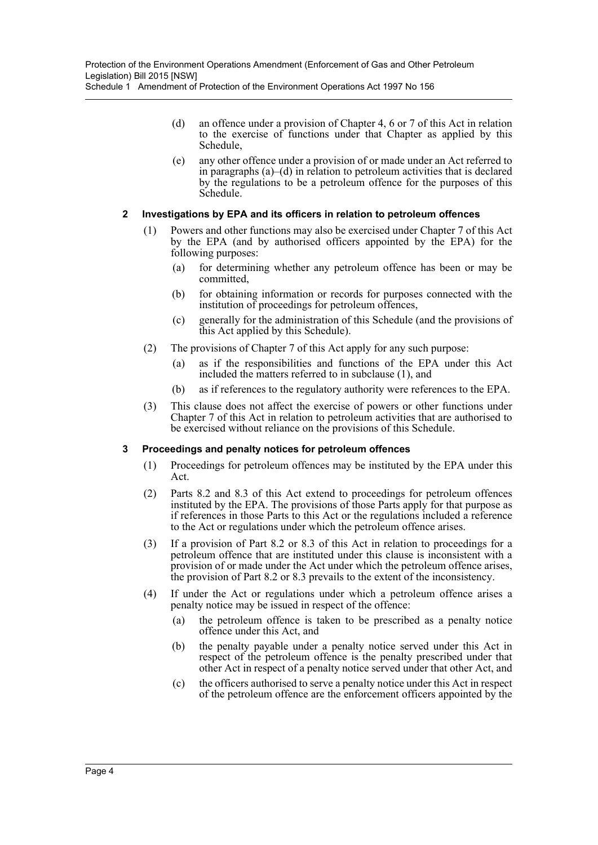- (d) an offence under a provision of Chapter 4, 6 or 7 of this Act in relation to the exercise of functions under that Chapter as applied by this Schedule,
- (e) any other offence under a provision of or made under an Act referred to in paragraphs (a)–(d) in relation to petroleum activities that is declared by the regulations to be a petroleum offence for the purposes of this Schedule.

#### **2 Investigations by EPA and its officers in relation to petroleum offences**

- (1) Powers and other functions may also be exercised under Chapter 7 of this Act by the EPA (and by authorised officers appointed by the EPA) for the following purposes:
	- (a) for determining whether any petroleum offence has been or may be committed,
	- (b) for obtaining information or records for purposes connected with the institution of proceedings for petroleum offences,
	- (c) generally for the administration of this Schedule (and the provisions of this Act applied by this Schedule).
- (2) The provisions of Chapter 7 of this Act apply for any such purpose:
	- (a) as if the responsibilities and functions of the EPA under this Act included the matters referred to in subclause (1), and
	- (b) as if references to the regulatory authority were references to the EPA.
- (3) This clause does not affect the exercise of powers or other functions under Chapter 7 of this Act in relation to petroleum activities that are authorised to be exercised without reliance on the provisions of this Schedule.

#### **3 Proceedings and penalty notices for petroleum offences**

- (1) Proceedings for petroleum offences may be instituted by the EPA under this Act.
- (2) Parts 8.2 and 8.3 of this Act extend to proceedings for petroleum offences instituted by the EPA. The provisions of those Parts apply for that purpose as if references in those Parts to this Act or the regulations included a reference to the Act or regulations under which the petroleum offence arises.
- (3) If a provision of Part 8.2 or 8.3 of this Act in relation to proceedings for a petroleum offence that are instituted under this clause is inconsistent with a provision of or made under the Act under which the petroleum offence arises, the provision of Part 8.2 or 8.3 prevails to the extent of the inconsistency.
- (4) If under the Act or regulations under which a petroleum offence arises a penalty notice may be issued in respect of the offence:
	- (a) the petroleum offence is taken to be prescribed as a penalty notice offence under this Act, and
	- (b) the penalty payable under a penalty notice served under this Act in respect of the petroleum offence is the penalty prescribed under that other Act in respect of a penalty notice served under that other Act, and
	- (c) the officers authorised to serve a penalty notice under this Act in respect of the petroleum offence are the enforcement officers appointed by the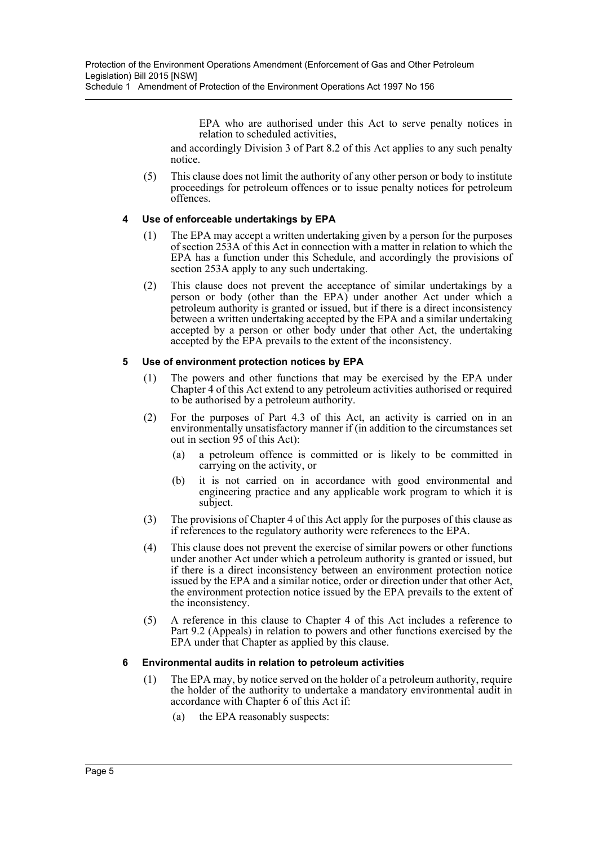EPA who are authorised under this Act to serve penalty notices in relation to scheduled activities,

and accordingly Division 3 of Part 8.2 of this Act applies to any such penalty notice.

(5) This clause does not limit the authority of any other person or body to institute proceedings for petroleum offences or to issue penalty notices for petroleum offences.

#### **4 Use of enforceable undertakings by EPA**

- (1) The EPA may accept a written undertaking given by a person for the purposes of section 253A of this Act in connection with a matter in relation to which the EPA has a function under this Schedule, and accordingly the provisions of section 253A apply to any such undertaking.
- (2) This clause does not prevent the acceptance of similar undertakings by a person or body (other than the EPA) under another Act under which a petroleum authority is granted or issued, but if there is a direct inconsistency between a written undertaking accepted by the EPA and a similar undertaking accepted by a person or other body under that other Act, the undertaking accepted by the EPA prevails to the extent of the inconsistency.

#### **5 Use of environment protection notices by EPA**

- (1) The powers and other functions that may be exercised by the EPA under Chapter 4 of this Act extend to any petroleum activities authorised or required to be authorised by a petroleum authority.
- (2) For the purposes of Part 4.3 of this Act, an activity is carried on in an environmentally unsatisfactory manner if (in addition to the circumstances set out in section 95 of this Act):
	- (a) a petroleum offence is committed or is likely to be committed in carrying on the activity, or
	- (b) it is not carried on in accordance with good environmental and engineering practice and any applicable work program to which it is subject.
- (3) The provisions of Chapter 4 of this Act apply for the purposes of this clause as if references to the regulatory authority were references to the EPA.
- (4) This clause does not prevent the exercise of similar powers or other functions under another Act under which a petroleum authority is granted or issued, but if there is a direct inconsistency between an environment protection notice issued by the EPA and a similar notice, order or direction under that other Act, the environment protection notice issued by the EPA prevails to the extent of the inconsistency.
- (5) A reference in this clause to Chapter 4 of this Act includes a reference to Part 9.2 (Appeals) in relation to powers and other functions exercised by the EPA under that Chapter as applied by this clause.

#### **6 Environmental audits in relation to petroleum activities**

- (1) The EPA may, by notice served on the holder of a petroleum authority, require the holder of the authority to undertake a mandatory environmental audit in accordance with Chapter 6 of this Act if:
	- (a) the EPA reasonably suspects: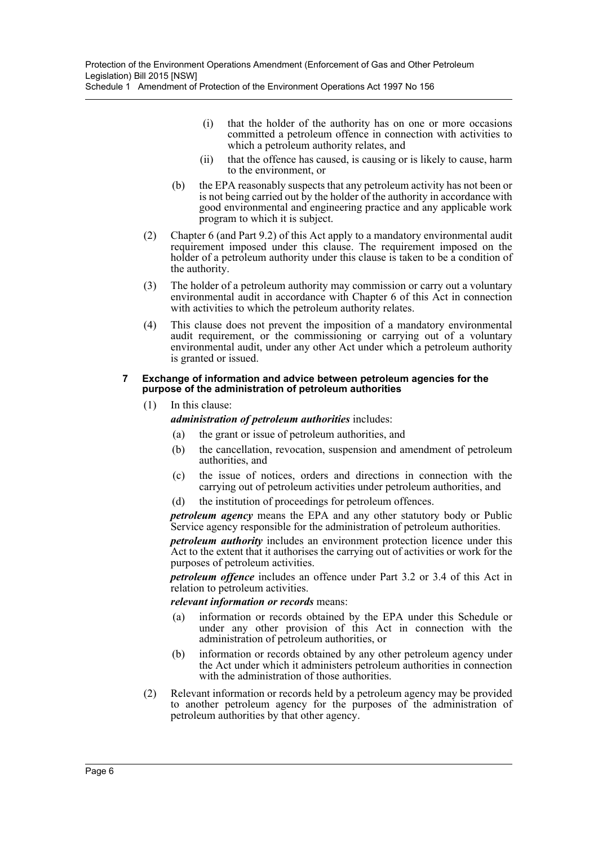- (i) that the holder of the authority has on one or more occasions committed a petroleum offence in connection with activities to which a petroleum authority relates, and
- (ii) that the offence has caused, is causing or is likely to cause, harm to the environment, or
- (b) the EPA reasonably suspects that any petroleum activity has not been or is not being carried out by the holder of the authority in accordance with good environmental and engineering practice and any applicable work program to which it is subject.
- (2) Chapter 6 (and Part 9.2) of this Act apply to a mandatory environmental audit requirement imposed under this clause. The requirement imposed on the holder of a petroleum authority under this clause is taken to be a condition of the authority.
- (3) The holder of a petroleum authority may commission or carry out a voluntary environmental audit in accordance with Chapter 6 of this Act in connection with activities to which the petroleum authority relates.
- (4) This clause does not prevent the imposition of a mandatory environmental audit requirement, or the commissioning or carrying out of a voluntary environmental audit, under any other Act under which a petroleum authority is granted or issued.

#### **7 Exchange of information and advice between petroleum agencies for the purpose of the administration of petroleum authorities**

- (1) In this clause:
	- *administration of petroleum authorities* includes:
		- (a) the grant or issue of petroleum authorities, and
		- (b) the cancellation, revocation, suspension and amendment of petroleum authorities, and
		- (c) the issue of notices, orders and directions in connection with the carrying out of petroleum activities under petroleum authorities, and
		- (d) the institution of proceedings for petroleum offences.

*petroleum agency* means the EPA and any other statutory body or Public Service agency responsible for the administration of petroleum authorities.

*petroleum authority* includes an environment protection licence under this Act to the extent that it authorises the carrying out of activities or work for the purposes of petroleum activities.

*petroleum offence* includes an offence under Part 3.2 or 3.4 of this Act in relation to petroleum activities.

#### *relevant information or records* means:

- (a) information or records obtained by the EPA under this Schedule or under any other provision of this Act in connection with the administration of petroleum authorities, or
- (b) information or records obtained by any other petroleum agency under the Act under which it administers petroleum authorities in connection with the administration of those authorities.
- (2) Relevant information or records held by a petroleum agency may be provided to another petroleum agency for the purposes of the administration of petroleum authorities by that other agency.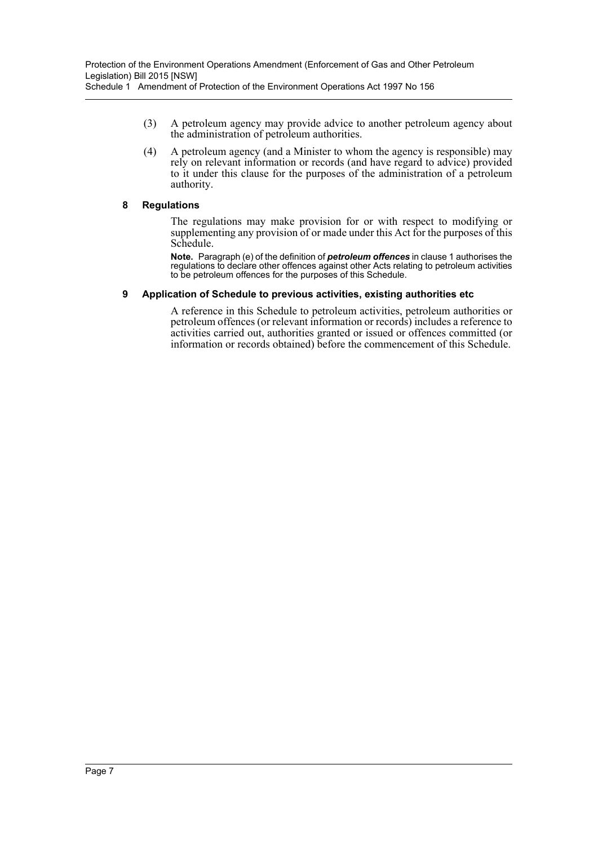- (3) A petroleum agency may provide advice to another petroleum agency about the administration of petroleum authorities.
- (4) A petroleum agency (and a Minister to whom the agency is responsible) may rely on relevant information or records (and have regard to advice) provided to it under this clause for the purposes of the administration of a petroleum authority.

#### **8 Regulations**

The regulations may make provision for or with respect to modifying or supplementing any provision of or made under this Act for the purposes of this Schedule.

**Note.** Paragraph (e) of the definition of *petroleum offences* in clause 1 authorises the regulations to declare other offences against other Acts relating to petroleum activities to be petroleum offences for the purposes of this Schedule.

#### **9 Application of Schedule to previous activities, existing authorities etc**

A reference in this Schedule to petroleum activities, petroleum authorities or petroleum offences (or relevant information or records) includes a reference to activities carried out, authorities granted or issued or offences committed (or information or records obtained) before the commencement of this Schedule.